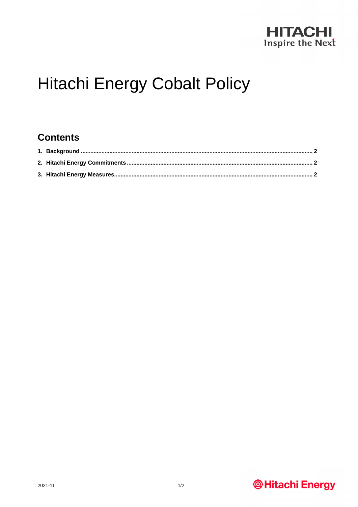

# **Hitachi Energy Cobalt Policy**

#### **Contents**

## **@Hitachi Energy**